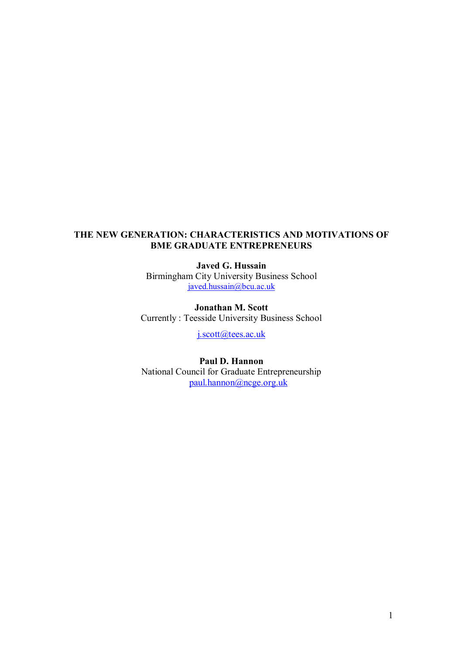# **THE NEW GENERATION: CHARACTERISTICS AND MOTIVATIONS OF BME GRADUATE ENTREPRENEURS**

**Javed G. Hussain** Birmingham City University Business School [javed.hussain@bcu.ac.uk](mailto:javed.hussain@bcu.ac.uk)

**Jonathan M. Scott** Currently : Teesside University Business School

[j.scott@tees.ac.uk](mailto:j.scott@tees.ac.uk)

**Paul D. Hannon** National Council for Graduate Entrepreneurship [paul.hannon@ncge.org.uk](mailto:paul.hannon@ncge.org.uk)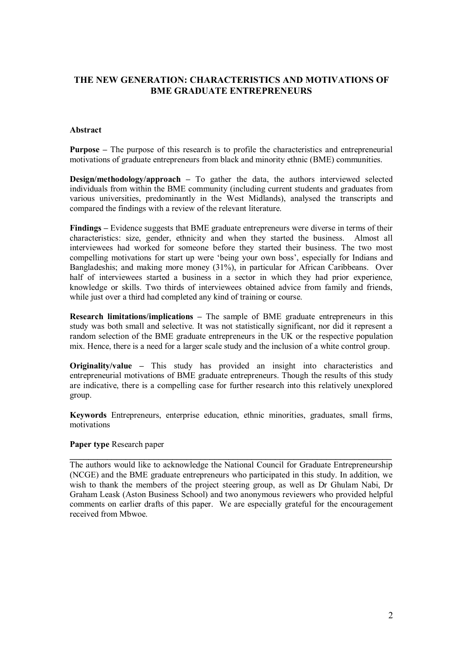# **THE NEW GENERATION: CHARACTERISTICS AND MOTIVATIONS OF BME GRADUATE ENTREPRENEURS**

### **Abstract**

**Purpose** – The purpose of this research is to profile the characteristics and entrepreneurial motivations of graduate entrepreneurs from black and minority ethnic (BME) communities.

**Design/methodology/approach –** To gather the data, the authors interviewed selected individuals from within the BME community (including current students and graduates from various universities, predominantly in the West Midlands), analysed the transcripts and compared the findings with a review of the relevant literature.

**Findings –** Evidence suggests that BME graduate entrepreneurs were diverse in terms of their characteristics: size, gender, ethnicity and when they started the business. Almost all interviewees had worked for someone before they started their business. The two most compelling motivations for start up were "being your own boss", especially for Indians and Bangladeshis; and making more money (31%), in particular for African Caribbeans. Over half of interviewees started a business in a sector in which they had prior experience. knowledge or skills. Two thirds of interviewees obtained advice from family and friends, while just over a third had completed any kind of training or course.

**Research limitations/implications –** The sample of BME graduate entrepreneurs in this study was both small and selective. It was not statistically significant, nor did it represent a random selection of the BME graduate entrepreneurs in the UK or the respective population mix. Hence, there is a need for a larger scale study and the inclusion of a white control group.

**Originality/value –** This study has provided an insight into characteristics and entrepreneurial motivations of BME graduate entrepreneurs. Though the results of this study are indicative, there is a compelling case for further research into this relatively unexplored group.

**Keywords** Entrepreneurs, enterprise education, ethnic minorities, graduates, small firms, motivations

#### **Paper type** Research paper

The authors would like to acknowledge the National Council for Graduate Entrepreneurship (NCGE) and the BME graduate entrepreneurs who participated in this study. In addition, we wish to thank the members of the project steering group, as well as Dr Ghulam Nabi, Dr Graham Leask (Aston Business School) and two anonymous reviewers who provided helpful comments on earlier drafts of this paper. We are especially grateful for the encouragement received from Mbwoe.

**\_\_\_\_\_\_\_\_\_\_\_\_\_\_\_\_\_\_\_\_\_\_\_\_\_\_\_\_\_\_\_\_\_\_\_\_\_\_\_\_\_\_\_\_\_\_\_\_\_\_\_\_\_\_\_\_\_\_\_\_\_\_\_\_\_\_\_\_\_**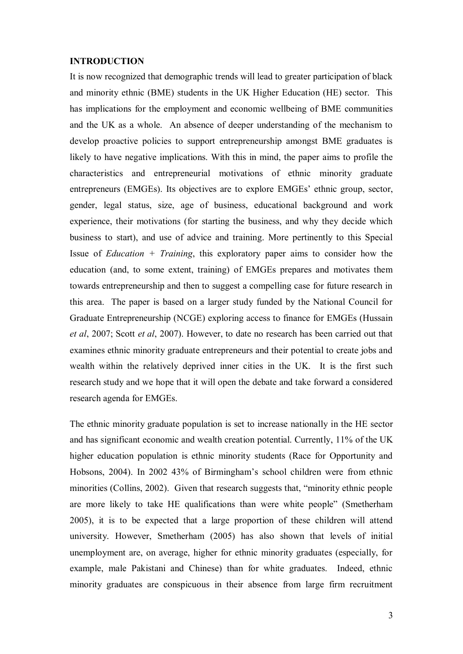#### **INTRODUCTION**

It is now recognized that demographic trends will lead to greater participation of black and minority ethnic (BME) students in the UK Higher Education (HE) sector. This has implications for the employment and economic wellbeing of BME communities and the UK as a whole. An absence of deeper understanding of the mechanism to develop proactive policies to support entrepreneurship amongst BME graduates is likely to have negative implications. With this in mind, the paper aims to profile the characteristics and entrepreneurial motivations of ethnic minority graduate entrepreneurs (EMGEs). Its objectives are to explore EMGEs' ethnic group, sector, gender, legal status, size, age of business, educational background and work experience, their motivations (for starting the business, and why they decide which business to start), and use of advice and training. More pertinently to this Special Issue of *Education + Training*, this exploratory paper aims to consider how the education (and, to some extent, training) of EMGEs prepares and motivates them towards entrepreneurship and then to suggest a compelling case for future research in this area. The paper is based on a larger study funded by the National Council for Graduate Entrepreneurship (NCGE) exploring access to finance for EMGEs (Hussain *et al*, 2007; Scott *et al*, 2007). However, to date no research has been carried out that examines ethnic minority graduate entrepreneurs and their potential to create jobs and wealth within the relatively deprived inner cities in the UK. It is the first such research study and we hope that it will open the debate and take forward a considered research agenda for EMGEs.

The ethnic minority graduate population is set to increase nationally in the HE sector and has significant economic and wealth creation potential. Currently, 11% of the UK higher education population is ethnic minority students (Race for Opportunity and Hobsons, 2004). In 2002 43% of Birmingham"s school children were from ethnic minorities (Collins, 2002). Given that research suggests that, "minority ethnic people are more likely to take HE qualifications than were white people" (Smetherham 2005), it is to be expected that a large proportion of these children will attend university. However, Smetherham (2005) has also shown that levels of initial unemployment are, on average, higher for ethnic minority graduates (especially, for example, male Pakistani and Chinese) than for white graduates. Indeed, ethnic minority graduates are conspicuous in their absence from large firm recruitment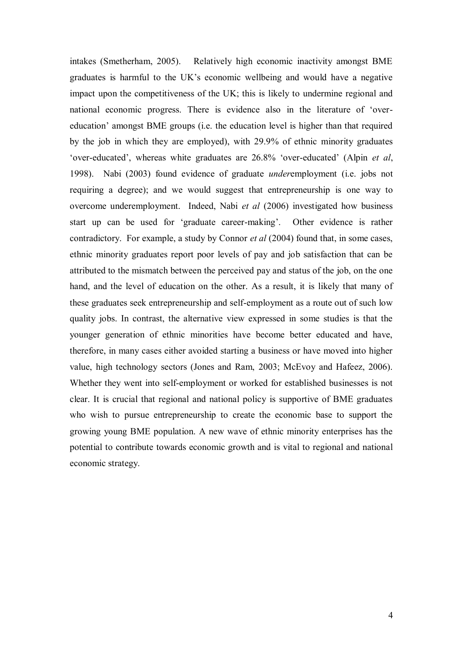intakes (Smetherham, 2005). Relatively high economic inactivity amongst BME graduates is harmful to the UK"s economic wellbeing and would have a negative impact upon the competitiveness of the UK; this is likely to undermine regional and national economic progress. There is evidence also in the literature of "overeducation" amongst BME groups (i.e. the education level is higher than that required by the job in which they are employed), with 29.9% of ethnic minority graduates "over-educated", whereas white graduates are 26.8% "over-educated" (Alpin *et al*, 1998). Nabi (2003) found evidence of graduate *under*employment (i.e. jobs not requiring a degree); and we would suggest that entrepreneurship is one way to overcome underemployment. Indeed, Nabi *et al* (2006) investigated how business start up can be used for "graduate career-making". Other evidence is rather contradictory. For example, a study by Connor *et al* (2004) found that, in some cases, ethnic minority graduates report poor levels of pay and job satisfaction that can be attributed to the mismatch between the perceived pay and status of the job, on the one hand, and the level of education on the other. As a result, it is likely that many of these graduates seek entrepreneurship and self-employment as a route out of such low quality jobs. In contrast, the alternative view expressed in some studies is that the younger generation of ethnic minorities have become better educated and have, therefore, in many cases either avoided starting a business or have moved into higher value, high technology sectors (Jones and Ram, 2003; McEvoy and Hafeez, 2006). Whether they went into self-employment or worked for established businesses is not clear. It is crucial that regional and national policy is supportive of BME graduates who wish to pursue entrepreneurship to create the economic base to support the growing young BME population. A new wave of ethnic minority enterprises has the potential to contribute towards economic growth and is vital to regional and national economic strategy.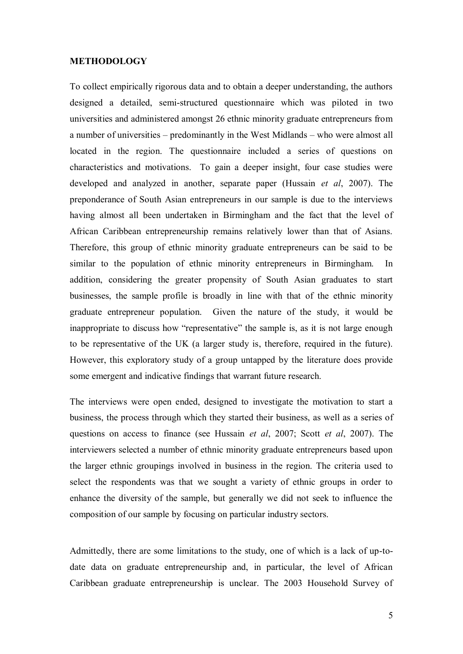## **METHODOLOGY**

To collect empirically rigorous data and to obtain a deeper understanding, the authors designed a detailed, semi-structured questionnaire which was piloted in two universities and administered amongst 26 ethnic minority graduate entrepreneurs from a number of universities – predominantly in the West Midlands – who were almost all located in the region. The questionnaire included a series of questions on characteristics and motivations. To gain a deeper insight, four case studies were developed and analyzed in another, separate paper (Hussain *et al*, 2007). The preponderance of South Asian entrepreneurs in our sample is due to the interviews having almost all been undertaken in Birmingham and the fact that the level of African Caribbean entrepreneurship remains relatively lower than that of Asians. Therefore, this group of ethnic minority graduate entrepreneurs can be said to be similar to the population of ethnic minority entrepreneurs in Birmingham. In addition, considering the greater propensity of South Asian graduates to start businesses, the sample profile is broadly in line with that of the ethnic minority graduate entrepreneur population. Given the nature of the study, it would be inappropriate to discuss how "representative" the sample is, as it is not large enough to be representative of the UK (a larger study is, therefore, required in the future). However, this exploratory study of a group untapped by the literature does provide some emergent and indicative findings that warrant future research.

The interviews were open ended, designed to investigate the motivation to start a business, the process through which they started their business, as well as a series of questions on access to finance (see Hussain *et al*, 2007; Scott *et al*, 2007). The interviewers selected a number of ethnic minority graduate entrepreneurs based upon the larger ethnic groupings involved in business in the region. The criteria used to select the respondents was that we sought a variety of ethnic groups in order to enhance the diversity of the sample, but generally we did not seek to influence the composition of our sample by focusing on particular industry sectors.

Admittedly, there are some limitations to the study, one of which is a lack of up-todate data on graduate entrepreneurship and, in particular, the level of African Caribbean graduate entrepreneurship is unclear. The 2003 Household Survey of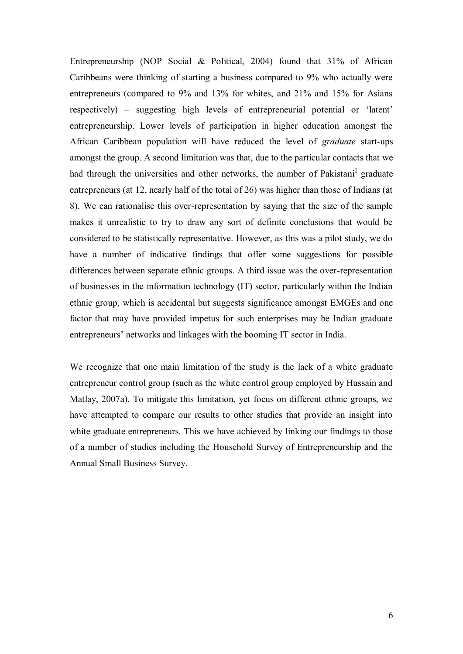Entrepreneurship (NOP Social & Political, 2004) found that 31% of African Caribbeans were thinking of starting a business compared to 9% who actually were entrepreneurs (compared to 9% and 13% for whites, and 21% and 15% for Asians respectively) – suggesting high levels of entrepreneurial potential or "latent" entrepreneurship. Lower levels of participation in higher education amongst the African Caribbean population will have reduced the level of *graduate* start-ups amongst the group. A second limitation was that, due to the particular contacts that we had through the universities and other networks, the number of Pakistani<sup>I</sup> graduate entrepreneurs (at 12, nearly half of the total of 26) was higher than those of Indians (at 8). We can rationalise this over-representation by saying that the size of the sample makes it unrealistic to try to draw any sort of definite conclusions that would be considered to be statistically representative. However, as this was a pilot study, we do have a number of indicative findings that offer some suggestions for possible differences between separate ethnic groups. A third issue was the over-representation of businesses in the information technology (IT) sector, particularly within the Indian ethnic group, which is accidental but suggests significance amongst EMGEs and one factor that may have provided impetus for such enterprises may be Indian graduate entrepreneurs' networks and linkages with the booming IT sector in India.

We recognize that one main limitation of the study is the lack of a white graduate entrepreneur control group (such as the white control group employed by Hussain and Matlay, 2007a). To mitigate this limitation, yet focus on different ethnic groups, we have attempted to compare our results to other studies that provide an insight into white graduate entrepreneurs. This we have achieved by linking our findings to those of a number of studies including the Household Survey of Entrepreneurship and the Annual Small Business Survey.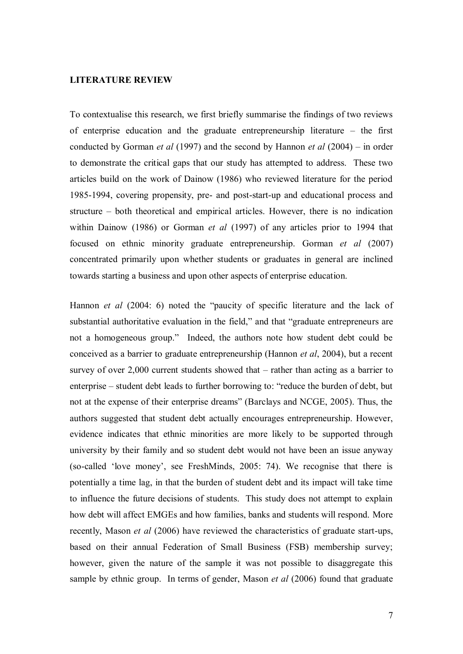## **LITERATURE REVIEW**

To contextualise this research, we first briefly summarise the findings of two reviews of enterprise education and the graduate entrepreneurship literature – the first conducted by Gorman *et al* (1997) and the second by Hannon *et al* (2004) – in order to demonstrate the critical gaps that our study has attempted to address. These two articles build on the work of Dainow (1986) who reviewed literature for the period 1985-1994, covering propensity, pre- and post-start-up and educational process and structure – both theoretical and empirical articles. However, there is no indication within Dainow (1986) or Gorman *et al* (1997) of any articles prior to 1994 that focused on ethnic minority graduate entrepreneurship. Gorman *et al* (2007) concentrated primarily upon whether students or graduates in general are inclined towards starting a business and upon other aspects of enterprise education.

Hannon *et al* (2004: 6) noted the "paucity of specific literature and the lack of substantial authoritative evaluation in the field," and that "graduate entrepreneurs are not a homogeneous group." Indeed, the authors note how student debt could be conceived as a barrier to graduate entrepreneurship (Hannon *et al*, 2004), but a recent survey of over 2,000 current students showed that – rather than acting as a barrier to enterprise – student debt leads to further borrowing to: "reduce the burden of debt, but not at the expense of their enterprise dreams" (Barclays and NCGE, 2005). Thus, the authors suggested that student debt actually encourages entrepreneurship. However, evidence indicates that ethnic minorities are more likely to be supported through university by their family and so student debt would not have been an issue anyway (so-called "love money", see FreshMinds, 2005: 74). We recognise that there is potentially a time lag, in that the burden of student debt and its impact will take time to influence the future decisions of students. This study does not attempt to explain how debt will affect EMGEs and how families, banks and students will respond. More recently, Mason *et al* (2006) have reviewed the characteristics of graduate start-ups, based on their annual Federation of Small Business (FSB) membership survey; however, given the nature of the sample it was not possible to disaggregate this sample by ethnic group. In terms of gender, Mason *et al* (2006) found that graduate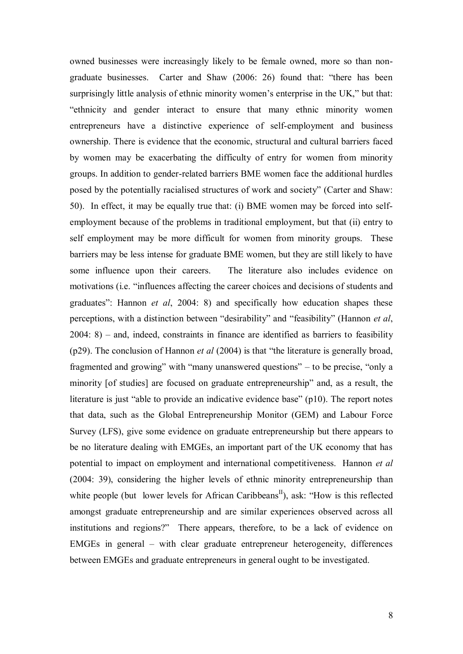owned businesses were increasingly likely to be female owned, more so than nongraduate businesses. Carter and Shaw (2006: 26) found that: "there has been surprisingly little analysis of ethnic minority women's enterprise in the UK," but that: "ethnicity and gender interact to ensure that many ethnic minority women entrepreneurs have a distinctive experience of self-employment and business ownership. There is evidence that the economic, structural and cultural barriers faced by women may be exacerbating the difficulty of entry for women from minority groups. In addition to gender-related barriers BME women face the additional hurdles posed by the potentially racialised structures of work and society" (Carter and Shaw: 50). In effect, it may be equally true that: (i) BME women may be forced into selfemployment because of the problems in traditional employment, but that (ii) entry to self employment may be more difficult for women from minority groups. These barriers may be less intense for graduate BME women, but they are still likely to have some influence upon their careers. The literature also includes evidence on motivations (i.e. "influences affecting the career choices and decisions of students and graduates": Hannon *et al*, 2004: 8) and specifically how education shapes these perceptions, with a distinction between "desirability" and "feasibility" (Hannon *et al*, 2004: 8) – and, indeed, constraints in finance are identified as barriers to feasibility (p29). The conclusion of Hannon *et al* (2004) is that "the literature is generally broad, fragmented and growing" with "many unanswered questions" – to be precise, "only a minority [of studies] are focused on graduate entrepreneurship" and, as a result, the literature is just "able to provide an indicative evidence base" (p10). The report notes that data, such as the Global Entrepreneurship Monitor (GEM) and Labour Force Survey (LFS), give some evidence on graduate entrepreneurship but there appears to be no literature dealing with EMGEs, an important part of the UK economy that has potential to impact on employment and international competitiveness. Hannon *et al*  (2004: 39), considering the higher levels of ethnic minority entrepreneurship than white people (but lower levels for African Caribbeans<sup>II</sup>), ask: "How is this reflected amongst graduate entrepreneurship and are similar experiences observed across all institutions and regions?" There appears, therefore, to be a lack of evidence on EMGEs in general – with clear graduate entrepreneur heterogeneity, differences between EMGEs and graduate entrepreneurs in general ought to be investigated.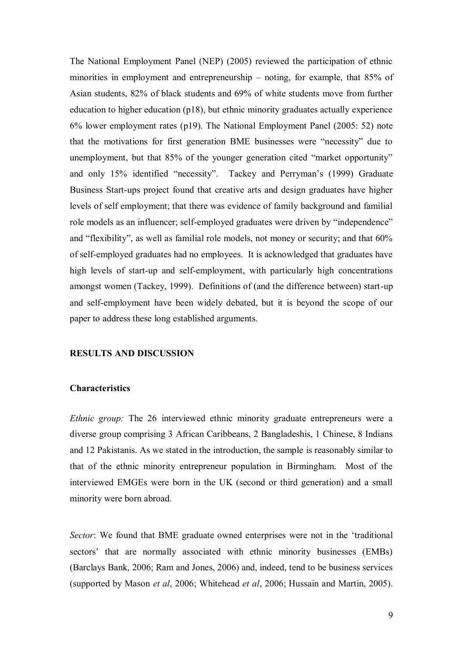The National Employment Panel (NEP) (2005) reviewed the participation of ethnic minorities in employment and entrepreneurship – noting, for example, that 85% of Asian students, 82% of black students and 69% of white students move from further education to higher education (p18), but ethnic minority graduates actually experience 6% lower employment rates (p19). The National Employment Panel (2005: 52) note that the motivations for first generation BME businesses were "necessity" due to unemployment, but that 85% of the younger generation cited "market opportunity" and only 15% identified "necessity". Tackey and Perryman"s (1999) Graduate Business Start-ups project found that creative arts and design graduates have higher levels of self employment; that there was evidence of family background and familial role models as an influencer; self-employed graduates were driven by "independence" and "flexibility", as well as familial role models, not money or security; and that 60% of self-employed graduates had no employees. It is acknowledged that graduates have high levels of start-up and self-employment, with particularly high concentrations amongst women (Tackey, 1999). Definitions of (and the difference between) start-up and self-employment have been widely debated, but it is beyond the scope of our paper to address these long established arguments.

# **RESULTS AND DISCUSSION**

## **Characteristics**

*Ethnic group:* The 26 interviewed ethnic minority graduate entrepreneurs were a diverse group comprising 3 African Caribbeans, 2 Bangladeshis, 1 Chinese, 8 Indians and 12 Pakistanis. As we stated in the introduction, the sample is reasonably similar to that of the ethnic minority entrepreneur population in Birmingham. Most of the interviewed EMGEs were born in the UK (second or third generation) and a small minority were born abroad.

*Sector*: We found that BME graduate owned enterprises were not in the "traditional sectors' that are normally associated with ethnic minority businesses (EMBs) (Barclays Bank, 2006; Ram and Jones, 2006) and, indeed, tend to be business services (supported by Mason *et al*, 2006; Whitehead *et al*, 2006; Hussain and Martin, 2005).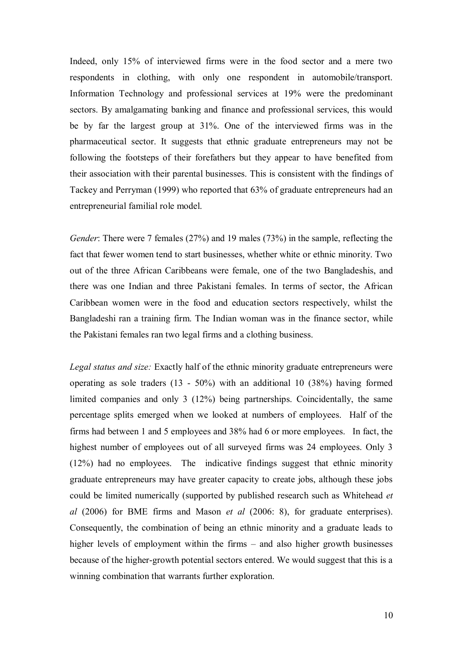Indeed, only 15% of interviewed firms were in the food sector and a mere two respondents in clothing, with only one respondent in automobile/transport. Information Technology and professional services at 19% were the predominant sectors. By amalgamating banking and finance and professional services, this would be by far the largest group at 31%. One of the interviewed firms was in the pharmaceutical sector. It suggests that ethnic graduate entrepreneurs may not be following the footsteps of their forefathers but they appear to have benefited from their association with their parental businesses. This is consistent with the findings of Tackey and Perryman (1999) who reported that 63% of graduate entrepreneurs had an entrepreneurial familial role model.

*Gender*: There were 7 females (27%) and 19 males (73%) in the sample, reflecting the fact that fewer women tend to start businesses, whether white or ethnic minority. Two out of the three African Caribbeans were female, one of the two Bangladeshis, and there was one Indian and three Pakistani females. In terms of sector, the African Caribbean women were in the food and education sectors respectively, whilst the Bangladeshi ran a training firm. The Indian woman was in the finance sector, while the Pakistani females ran two legal firms and a clothing business.

*Legal status and size:* Exactly half of the ethnic minority graduate entrepreneurs were operating as sole traders (13 - 50%) with an additional 10 (38%) having formed limited companies and only 3 (12%) being partnerships. Coincidentally, the same percentage splits emerged when we looked at numbers of employees. Half of the firms had between 1 and 5 employees and 38% had 6 or more employees. In fact, the highest number of employees out of all surveyed firms was 24 employees. Only 3 (12%) had no employees. The indicative findings suggest that ethnic minority graduate entrepreneurs may have greater capacity to create jobs, although these jobs could be limited numerically (supported by published research such as Whitehead *et al* (2006) for BME firms and Mason *et al* (2006: 8), for graduate enterprises). Consequently, the combination of being an ethnic minority and a graduate leads to higher levels of employment within the firms – and also higher growth businesses because of the higher-growth potential sectors entered. We would suggest that this is a winning combination that warrants further exploration.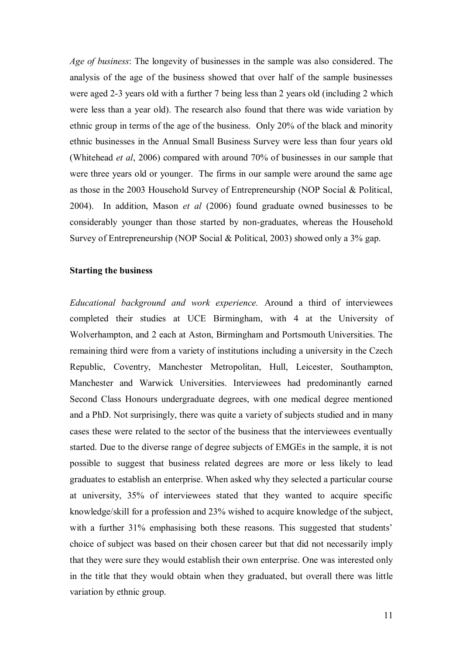*Age of business*: The longevity of businesses in the sample was also considered. The analysis of the age of the business showed that over half of the sample businesses were aged 2-3 years old with a further 7 being less than 2 years old (including 2 which were less than a year old). The research also found that there was wide variation by ethnic group in terms of the age of the business. Only 20% of the black and minority ethnic businesses in the Annual Small Business Survey were less than four years old (Whitehead *et al*, 2006) compared with around 70% of businesses in our sample that were three years old or younger. The firms in our sample were around the same age as those in the 2003 Household Survey of Entrepreneurship (NOP Social & Political, 2004). In addition, Mason *et al* (2006) found graduate owned businesses to be considerably younger than those started by non-graduates, whereas the Household Survey of Entrepreneurship (NOP Social & Political, 2003) showed only a 3% gap.

## **Starting the business**

*Educational background and work experience.* Around a third of interviewees completed their studies at UCE Birmingham, with 4 at the University of Wolverhampton, and 2 each at Aston, Birmingham and Portsmouth Universities. The remaining third were from a variety of institutions including a university in the Czech Republic, Coventry, Manchester Metropolitan, Hull, Leicester, Southampton, Manchester and Warwick Universities. Interviewees had predominantly earned Second Class Honours undergraduate degrees, with one medical degree mentioned and a PhD. Not surprisingly, there was quite a variety of subjects studied and in many cases these were related to the sector of the business that the interviewees eventually started. Due to the diverse range of degree subjects of EMGEs in the sample, it is not possible to suggest that business related degrees are more or less likely to lead graduates to establish an enterprise. When asked why they selected a particular course at university, 35% of interviewees stated that they wanted to acquire specific knowledge/skill for a profession and 23% wished to acquire knowledge of the subject, with a further 31% emphasising both these reasons. This suggested that students' choice of subject was based on their chosen career but that did not necessarily imply that they were sure they would establish their own enterprise. One was interested only in the title that they would obtain when they graduated, but overall there was little variation by ethnic group.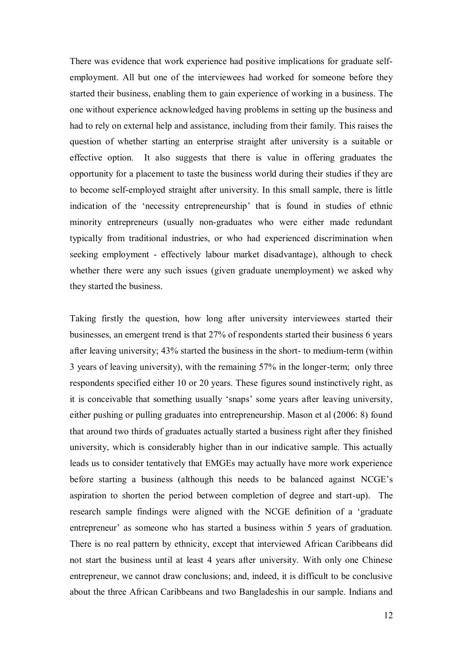There was evidence that work experience had positive implications for graduate selfemployment. All but one of the interviewees had worked for someone before they started their business, enabling them to gain experience of working in a business. The one without experience acknowledged having problems in setting up the business and had to rely on external help and assistance, including from their family. This raises the question of whether starting an enterprise straight after university is a suitable or effective option. It also suggests that there is value in offering graduates the opportunity for a placement to taste the business world during their studies if they are to become self-employed straight after university. In this small sample, there is little indication of the "necessity entrepreneurship" that is found in studies of ethnic minority entrepreneurs (usually non-graduates who were either made redundant typically from traditional industries, or who had experienced discrimination when seeking employment - effectively labour market disadvantage), although to check whether there were any such issues (given graduate unemployment) we asked why they started the business.

Taking firstly the question, how long after university interviewees started their businesses, an emergent trend is that 27% of respondents started their business 6 years after leaving university; 43% started the business in the short- to medium-term (within 3 years of leaving university), with the remaining 57% in the longer-term; only three respondents specified either 10 or 20 years. These figures sound instinctively right, as it is conceivable that something usually "snaps" some years after leaving university, either pushing or pulling graduates into entrepreneurship. Mason et al (2006: 8) found that around two thirds of graduates actually started a business right after they finished university, which is considerably higher than in our indicative sample. This actually leads us to consider tentatively that EMGEs may actually have more work experience before starting a business (although this needs to be balanced against NCGE"s aspiration to shorten the period between completion of degree and start-up). The research sample findings were aligned with the NCGE definition of a "graduate entrepreneur' as someone who has started a business within 5 years of graduation. There is no real pattern by ethnicity, except that interviewed African Caribbeans did not start the business until at least 4 years after university. With only one Chinese entrepreneur, we cannot draw conclusions; and, indeed, it is difficult to be conclusive about the three African Caribbeans and two Bangladeshis in our sample. Indians and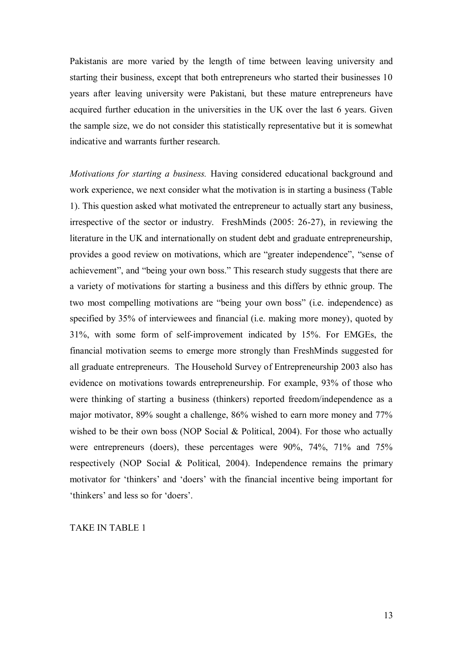Pakistanis are more varied by the length of time between leaving university and starting their business, except that both entrepreneurs who started their businesses 10 years after leaving university were Pakistani, but these mature entrepreneurs have acquired further education in the universities in the UK over the last 6 years. Given the sample size, we do not consider this statistically representative but it is somewhat indicative and warrants further research.

*Motivations for starting a business.* Having considered educational background and work experience, we next consider what the motivation is in starting a business (Table 1). This question asked what motivated the entrepreneur to actually start any business, irrespective of the sector or industry. FreshMinds (2005: 26-27), in reviewing the literature in the UK and internationally on student debt and graduate entrepreneurship, provides a good review on motivations, which are "greater independence", "sense of achievement", and "being your own boss." This research study suggests that there are a variety of motivations for starting a business and this differs by ethnic group. The two most compelling motivations are "being your own boss" (i.e. independence) as specified by 35% of interviewees and financial (i.e. making more money), quoted by 31%, with some form of self-improvement indicated by 15%. For EMGEs, the financial motivation seems to emerge more strongly than FreshMinds suggested for all graduate entrepreneurs. The Household Survey of Entrepreneurship 2003 also has evidence on motivations towards entrepreneurship. For example, 93% of those who were thinking of starting a business (thinkers) reported freedom/independence as a major motivator, 89% sought a challenge, 86% wished to earn more money and 77% wished to be their own boss (NOP Social & Political, 2004). For those who actually were entrepreneurs (doers), these percentages were 90%, 74%, 71% and 75% respectively (NOP Social & Political, 2004). Independence remains the primary motivator for "thinkers" and "doers" with the financial incentive being important for "thinkers" and less so for "doers".

TAKE IN TABLE 1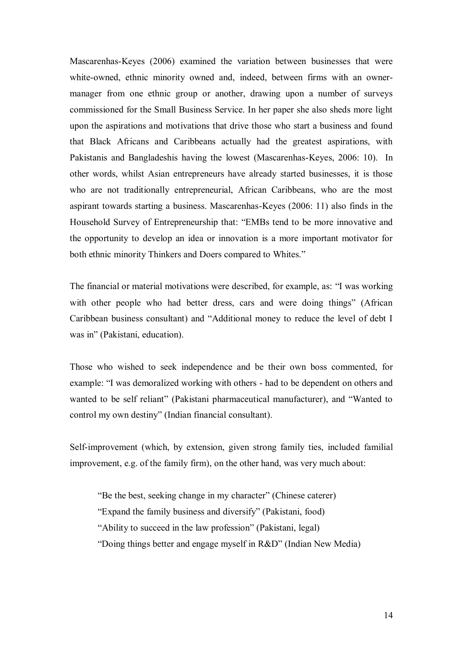Mascarenhas-Keyes (2006) examined the variation between businesses that were white-owned, ethnic minority owned and, indeed, between firms with an ownermanager from one ethnic group or another, drawing upon a number of surveys commissioned for the Small Business Service. In her paper she also sheds more light upon the aspirations and motivations that drive those who start a business and found that Black Africans and Caribbeans actually had the greatest aspirations, with Pakistanis and Bangladeshis having the lowest (Mascarenhas-Keyes, 2006: 10). In other words, whilst Asian entrepreneurs have already started businesses, it is those who are not traditionally entrepreneurial, African Caribbeans, who are the most aspirant towards starting a business. Mascarenhas-Keyes (2006: 11) also finds in the Household Survey of Entrepreneurship that: "EMBs tend to be more innovative and the opportunity to develop an idea or innovation is a more important motivator for both ethnic minority Thinkers and Doers compared to Whites."

The financial or material motivations were described, for example, as: "I was working with other people who had better dress, cars and were doing things" (African Caribbean business consultant) and "Additional money to reduce the level of debt I was in" (Pakistani, education).

Those who wished to seek independence and be their own boss commented, for example: "I was demoralized working with others - had to be dependent on others and wanted to be self reliant" (Pakistani pharmaceutical manufacturer), and "Wanted to control my own destiny" (Indian financial consultant).

Self-improvement (which, by extension, given strong family ties, included familial improvement, e.g. of the family firm), on the other hand, was very much about:

"Be the best, seeking change in my character" (Chinese caterer) "Expand the family business and diversify" (Pakistani, food) "Ability to succeed in the law profession" (Pakistani, legal) "Doing things better and engage myself in R&D" (Indian New Media)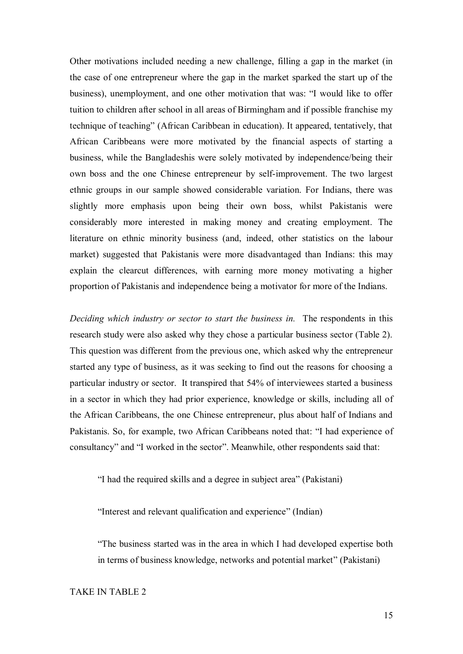Other motivations included needing a new challenge, filling a gap in the market (in the case of one entrepreneur where the gap in the market sparked the start up of the business), unemployment, and one other motivation that was: "I would like to offer tuition to children after school in all areas of Birmingham and if possible franchise my technique of teaching" (African Caribbean in education). It appeared, tentatively, that African Caribbeans were more motivated by the financial aspects of starting a business, while the Bangladeshis were solely motivated by independence/being their own boss and the one Chinese entrepreneur by self-improvement. The two largest ethnic groups in our sample showed considerable variation. For Indians, there was slightly more emphasis upon being their own boss, whilst Pakistanis were considerably more interested in making money and creating employment. The literature on ethnic minority business (and, indeed, other statistics on the labour market) suggested that Pakistanis were more disadvantaged than Indians: this may explain the clearcut differences, with earning more money motivating a higher proportion of Pakistanis and independence being a motivator for more of the Indians.

*Deciding which industry or sector to start the business in.* The respondents in this research study were also asked why they chose a particular business sector (Table 2). This question was different from the previous one, which asked why the entrepreneur started any type of business, as it was seeking to find out the reasons for choosing a particular industry or sector. It transpired that 54% of interviewees started a business in a sector in which they had prior experience, knowledge or skills, including all of the African Caribbeans, the one Chinese entrepreneur, plus about half of Indians and Pakistanis. So, for example, two African Caribbeans noted that: "I had experience of consultancy" and "I worked in the sector". Meanwhile, other respondents said that:

"I had the required skills and a degree in subject area" (Pakistani)

"Interest and relevant qualification and experience" (Indian)

"The business started was in the area in which I had developed expertise both in terms of business knowledge, networks and potential market" (Pakistani)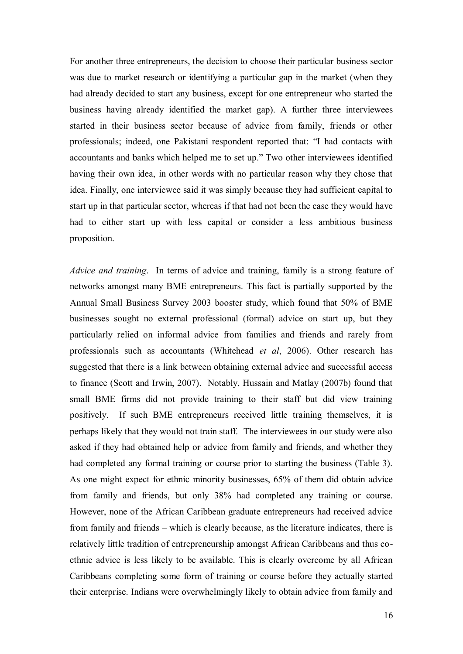For another three entrepreneurs, the decision to choose their particular business sector was due to market research or identifying a particular gap in the market (when they had already decided to start any business, except for one entrepreneur who started the business having already identified the market gap). A further three interviewees started in their business sector because of advice from family, friends or other professionals; indeed, one Pakistani respondent reported that: "I had contacts with accountants and banks which helped me to set up." Two other interviewees identified having their own idea, in other words with no particular reason why they chose that idea. Finally, one interviewee said it was simply because they had sufficient capital to start up in that particular sector, whereas if that had not been the case they would have had to either start up with less capital or consider a less ambitious business proposition.

*Advice and training*. In terms of advice and training, family is a strong feature of networks amongst many BME entrepreneurs. This fact is partially supported by the Annual Small Business Survey 2003 booster study, which found that 50% of BME businesses sought no external professional (formal) advice on start up, but they particularly relied on informal advice from families and friends and rarely from professionals such as accountants (Whitehead *et al*, 2006). Other research has suggested that there is a link between obtaining external advice and successful access to finance (Scott and Irwin, 2007). Notably, Hussain and Matlay (2007b) found that small BME firms did not provide training to their staff but did view training positively. If such BME entrepreneurs received little training themselves, it is perhaps likely that they would not train staff. The interviewees in our study were also asked if they had obtained help or advice from family and friends, and whether they had completed any formal training or course prior to starting the business (Table 3). As one might expect for ethnic minority businesses, 65% of them did obtain advice from family and friends, but only 38% had completed any training or course. However, none of the African Caribbean graduate entrepreneurs had received advice from family and friends – which is clearly because, as the literature indicates, there is relatively little tradition of entrepreneurship amongst African Caribbeans and thus coethnic advice is less likely to be available. This is clearly overcome by all African Caribbeans completing some form of training or course before they actually started their enterprise. Indians were overwhelmingly likely to obtain advice from family and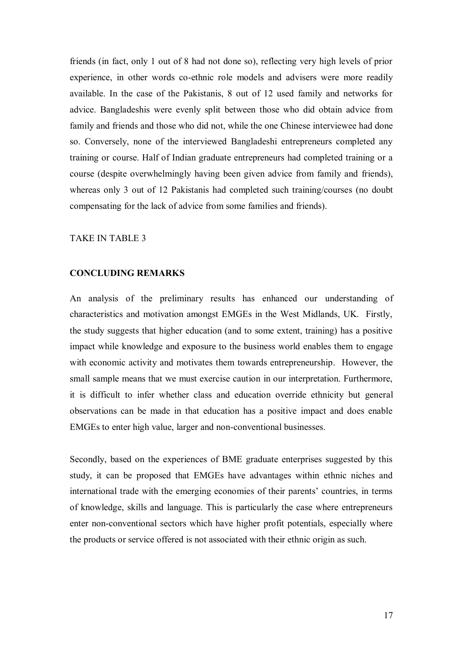friends (in fact, only 1 out of 8 had not done so), reflecting very high levels of prior experience, in other words co-ethnic role models and advisers were more readily available. In the case of the Pakistanis, 8 out of 12 used family and networks for advice. Bangladeshis were evenly split between those who did obtain advice from family and friends and those who did not, while the one Chinese interviewee had done so. Conversely, none of the interviewed Bangladeshi entrepreneurs completed any training or course. Half of Indian graduate entrepreneurs had completed training or a course (despite overwhelmingly having been given advice from family and friends), whereas only 3 out of 12 Pakistanis had completed such training/courses (no doubt compensating for the lack of advice from some families and friends).

#### TAKE IN TABLE 3

#### **CONCLUDING REMARKS**

An analysis of the preliminary results has enhanced our understanding of characteristics and motivation amongst EMGEs in the West Midlands, UK. Firstly, the study suggests that higher education (and to some extent, training) has a positive impact while knowledge and exposure to the business world enables them to engage with economic activity and motivates them towards entrepreneurship. However, the small sample means that we must exercise caution in our interpretation. Furthermore, it is difficult to infer whether class and education override ethnicity but general observations can be made in that education has a positive impact and does enable EMGEs to enter high value, larger and non-conventional businesses.

Secondly, based on the experiences of BME graduate enterprises suggested by this study, it can be proposed that EMGEs have advantages within ethnic niches and international trade with the emerging economies of their parents" countries, in terms of knowledge, skills and language. This is particularly the case where entrepreneurs enter non-conventional sectors which have higher profit potentials, especially where the products or service offered is not associated with their ethnic origin as such.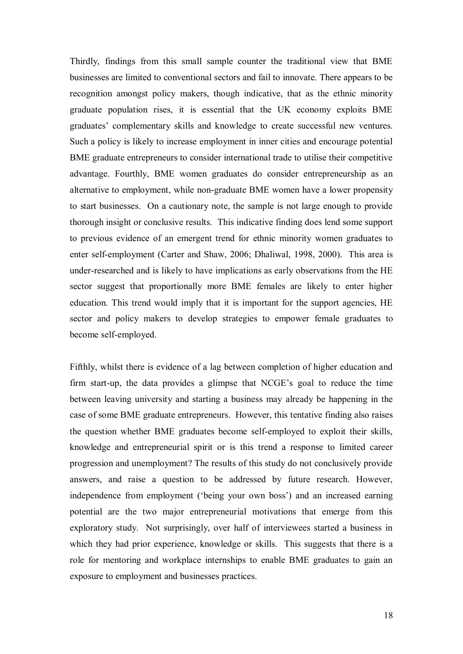Thirdly, findings from this small sample counter the traditional view that BME businesses are limited to conventional sectors and fail to innovate. There appears to be recognition amongst policy makers, though indicative, that as the ethnic minority graduate population rises, it is essential that the UK economy exploits BME graduates" complementary skills and knowledge to create successful new ventures. Such a policy is likely to increase employment in inner cities and encourage potential BME graduate entrepreneurs to consider international trade to utilise their competitive advantage. Fourthly, BME women graduates do consider entrepreneurship as an alternative to employment, while non-graduate BME women have a lower propensity to start businesses. On a cautionary note, the sample is not large enough to provide thorough insight or conclusive results. This indicative finding does lend some support to previous evidence of an emergent trend for ethnic minority women graduates to enter self-employment (Carter and Shaw, 2006; Dhaliwal, 1998, 2000). This area is under-researched and is likely to have implications as early observations from the HE sector suggest that proportionally more BME females are likely to enter higher education. This trend would imply that it is important for the support agencies, HE sector and policy makers to develop strategies to empower female graduates to become self-employed.

Fifthly, whilst there is evidence of a lag between completion of higher education and firm start-up, the data provides a glimpse that NCGE"s goal to reduce the time between leaving university and starting a business may already be happening in the case of some BME graduate entrepreneurs. However, this tentative finding also raises the question whether BME graduates become self-employed to exploit their skills, knowledge and entrepreneurial spirit or is this trend a response to limited career progression and unemployment? The results of this study do not conclusively provide answers, and raise a question to be addressed by future research. However, independence from employment ('being your own boss') and an increased earning potential are the two major entrepreneurial motivations that emerge from this exploratory study. Not surprisingly, over half of interviewees started a business in which they had prior experience, knowledge or skills. This suggests that there is a role for mentoring and workplace internships to enable BME graduates to gain an exposure to employment and businesses practices.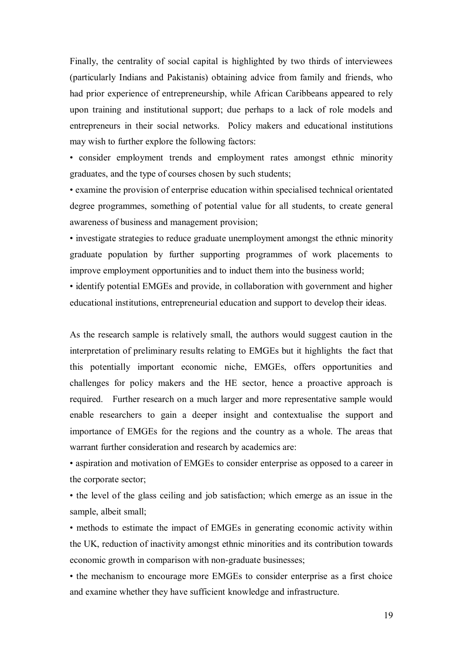Finally, the centrality of social capital is highlighted by two thirds of interviewees (particularly Indians and Pakistanis) obtaining advice from family and friends, who had prior experience of entrepreneurship, while African Caribbeans appeared to rely upon training and institutional support; due perhaps to a lack of role models and entrepreneurs in their social networks. Policy makers and educational institutions may wish to further explore the following factors:

• consider employment trends and employment rates amongst ethnic minority graduates, and the type of courses chosen by such students;

• examine the provision of enterprise education within specialised technical orientated degree programmes, something of potential value for all students, to create general awareness of business and management provision;

• investigate strategies to reduce graduate unemployment amongst the ethnic minority graduate population by further supporting programmes of work placements to improve employment opportunities and to induct them into the business world;

• identify potential EMGEs and provide, in collaboration with government and higher educational institutions, entrepreneurial education and support to develop their ideas.

As the research sample is relatively small, the authors would suggest caution in the interpretation of preliminary results relating to EMGEs but it highlights the fact that this potentially important economic niche, EMGEs, offers opportunities and challenges for policy makers and the HE sector, hence a proactive approach is required. Further research on a much larger and more representative sample would enable researchers to gain a deeper insight and contextualise the support and importance of EMGEs for the regions and the country as a whole. The areas that warrant further consideration and research by academics are:

• aspiration and motivation of EMGEs to consider enterprise as opposed to a career in the corporate sector;

• the level of the glass ceiling and job satisfaction; which emerge as an issue in the sample, albeit small;

• methods to estimate the impact of EMGEs in generating economic activity within the UK, reduction of inactivity amongst ethnic minorities and its contribution towards economic growth in comparison with non-graduate businesses;

• the mechanism to encourage more EMGEs to consider enterprise as a first choice and examine whether they have sufficient knowledge and infrastructure.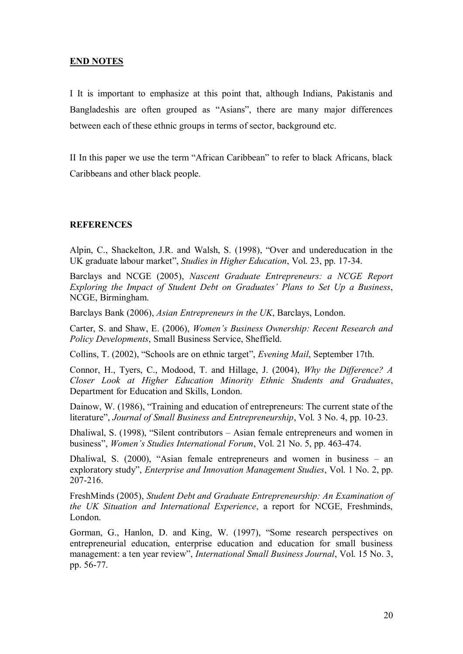# **END NOTES**

I It is important to emphasize at this point that, although Indians, Pakistanis and Bangladeshis are often grouped as "Asians", there are many major differences between each of these ethnic groups in terms of sector, background etc.

II In this paper we use the term "African Caribbean" to refer to black Africans, black Caribbeans and other black people.

## **REFERENCES**

Alpin, C., Shackelton, J.R. and Walsh, S. (1998), "Over and undereducation in the UK graduate labour market", *Studies in Higher Education*, Vol. 23, pp. 17-34.

Barclays and NCGE (2005), *Nascent Graduate Entrepreneurs: a NCGE Report Exploring the Impact of Student Debt on Graduates' Plans to Set Up a Business*, NCGE, Birmingham.

Barclays Bank (2006), *Asian Entrepreneurs in the UK*, Barclays, London.

Carter, S. and Shaw, E. (2006), *Women's Business Ownership: Recent Research and Policy Developments*, Small Business Service, Sheffield.

Collins, T. (2002), "Schools are on ethnic target", *Evening Mail*, September 17th.

Connor, H., Tyers, C., Modood, T. and Hillage, J. (2004), *Why the Difference? A Closer Look at Higher Education Minority Ethnic Students and Graduates*, Department for Education and Skills, London.

Dainow, W. (1986), "Training and education of entrepreneurs: The current state of the literature", *Journal of Small Business and Entrepreneurship*, Vol. 3 No. 4, pp. 10-23.

Dhaliwal, S. (1998), "Silent contributors – Asian female entrepreneurs and women in business", *Women's Studies International Forum*, Vol. 21 No. 5, pp. 463-474.

Dhaliwal, S. (2000), "Asian female entrepreneurs and women in business – an exploratory study", *Enterprise and Innovation Management Studies*, Vol. 1 No. 2, pp. 207-216.

FreshMinds (2005), *Student Debt and Graduate Entrepreneurship: An Examination of the UK Situation and International Experience*, a report for NCGE, Freshminds, London.

Gorman, G., Hanlon, D. and King, W. (1997), "Some research perspectives on entrepreneurial education, enterprise education and education for small business management: a ten year review", *International Small Business Journal*, Vol. 15 No. 3, pp. 56-77.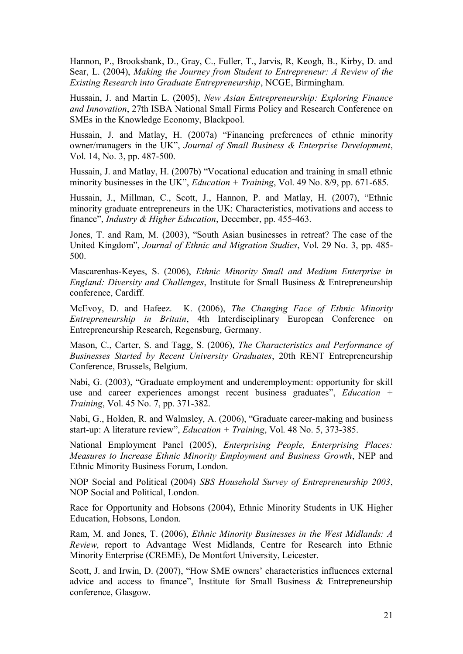Hannon, P., Brooksbank, D., Gray, C., Fuller, T., Jarvis, R, Keogh, B., Kirby, D. and Sear, L. (2004), *Making the Journey from Student to Entrepreneur: A Review of the Existing Research into Graduate Entrepreneurship*, NCGE, Birmingham.

Hussain, J. and Martin L. (2005), *New Asian Entrepreneurship: Exploring Finance and Innovation*, 27th ISBA National Small Firms Policy and Research Conference on SMEs in the Knowledge Economy, Blackpool.

Hussain, J. and Matlay, H. (2007a) "Financing preferences of ethnic minority owner/managers in the UK", *Journal of Small Business & Enterprise Development*, Vol. 14, No. 3, pp. 487-500.

Hussain, J. and Matlay, H. (2007b) "Vocational education and training in small ethnic minority businesses in the UK", *Education + Training*, Vol. 49 No. 8/9, pp. 671-685.

Hussain, J., Millman, C., Scott, J., Hannon, P. and Matlay, H. (2007), "Ethnic minority graduate entrepreneurs in the UK: Characteristics, motivations and access to finance", *Industry & Higher Education*, December, pp. 455-463.

Jones, T. and Ram, M. (2003), "South Asian businesses in retreat? The case of the United Kingdom", *Journal of Ethnic and Migration Studies*, Vol. 29 No. 3, pp. 485- 500.

Mascarenhas-Keyes, S. (2006), *Ethnic Minority Small and Medium Enterprise in England: Diversity and Challenges*, Institute for Small Business & Entrepreneurship conference, Cardiff.

McEvoy, D. and Hafeez. K. (2006), *The Changing Face of Ethnic Minority Entrepreneurship in Britain*, 4th Interdisciplinary European Conference on Entrepreneurship Research, Regensburg, Germany.

Mason, C., Carter, S. and Tagg, S. (2006), *The Characteristics and Performance of Businesses Started by Recent University Graduates*, 20th RENT Entrepreneurship Conference, Brussels, Belgium.

Nabi, G. (2003), "Graduate employment and underemployment: opportunity for skill use and career experiences amongst recent business graduates", *Education + Training*, Vol. 45 No. 7, pp. 371-382.

Nabi, G., Holden, R. and Walmsley, A. (2006), "Graduate career-making and business start-up: A literature review", *Education + Training*, Vol. 48 No. 5, 373-385.

National Employment Panel (2005), *Enterprising People, Enterprising Places: Measures to Increase Ethnic Minority Employment and Business Growth*, NEP and Ethnic Minority Business Forum, London.

NOP Social and Political (2004) *SBS Household Survey of Entrepreneurship 2003*, NOP Social and Political, London.

Race for Opportunity and Hobsons (2004), Ethnic Minority Students in UK Higher Education, Hobsons, London.

Ram, M. and Jones, T. (2006), *Ethnic Minority Businesses in the West Midlands: A Review*, report to Advantage West Midlands, Centre for Research into Ethnic Minority Enterprise (CREME), De Montfort University, Leicester.

Scott, J. and Irwin, D. (2007), "How SME owners' characteristics influences external advice and access to finance", Institute for Small Business & Entrepreneurship conference, Glasgow.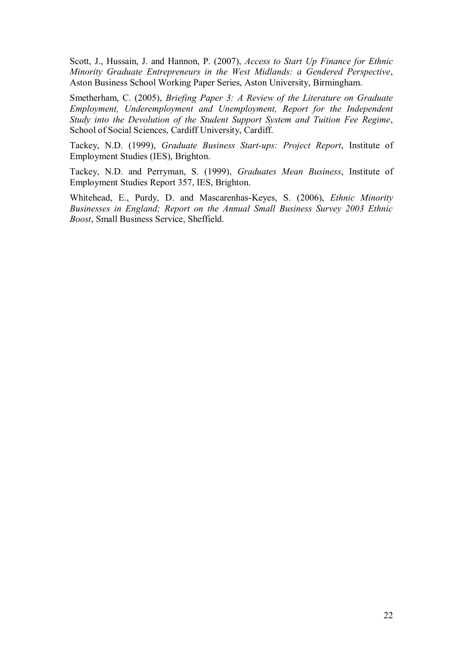Scott, J., Hussain, J. and Hannon, P. (2007), *Access to Start Up Finance for Ethnic Minority Graduate Entrepreneurs in the West Midlands: a Gendered Perspective*, Aston Business School Working Paper Series, Aston University, Birmingham.

Smetherham, C. (2005), *Briefing Paper 3: A Review of the Literature on Graduate Employment, Underemployment and Unemployment, Report for the Independent Study into the Devolution of the Student Support System and Tuition Fee Regime*, School of Social Sciences, Cardiff University, Cardiff.

Tackey, N.D. (1999), *Graduate Business Start-ups: Project Report*, Institute of Employment Studies (IES), Brighton.

Tackey, N.D. and Perryman, S. (1999), *Graduates Mean Business*, Institute of Employment Studies Report 357, IES, Brighton.

Whitehead, E., Purdy, D. and Mascarenhas-Keyes, S. (2006), *Ethnic Minority Businesses in England; Report on the Annual Small Business Survey 2003 Ethnic Boost*, Small Business Service, Sheffield.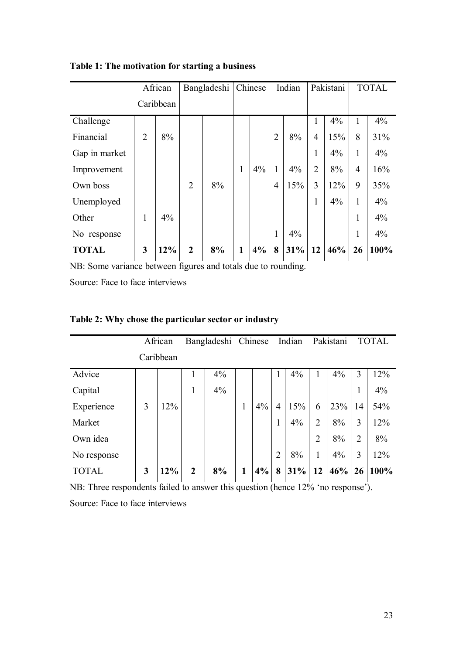|               | African        |     | Bangladeshi    |    | Chinese |    | Indian         |     | Pakistani      |     | <b>TOTAL</b>   |       |
|---------------|----------------|-----|----------------|----|---------|----|----------------|-----|----------------|-----|----------------|-------|
|               | Caribbean      |     |                |    |         |    |                |     |                |     |                |       |
| Challenge     |                |     |                |    |         |    |                |     | 1              | 4%  | 1              | 4%    |
| Financial     | $\overline{2}$ | 8%  |                |    |         |    | $\overline{2}$ | 8%  | $\overline{4}$ | 15% | 8              | 31%   |
| Gap in market |                |     |                |    |         |    |                |     | 1              | 4%  | 1              | 4%    |
| Improvement   |                |     |                |    | 1       | 4% | 1              | 4%  | $\overline{2}$ | 8%  | $\overline{4}$ | 16%   |
| Own boss      |                |     | $\overline{2}$ | 8% |         |    | $\overline{4}$ | 15% | 3              | 12% | 9              | 35%   |
| Unemployed    |                |     |                |    |         |    |                |     | 1              | 4%  | 1              | $4\%$ |
| Other         | $\mathbf{1}$   | 4%  |                |    |         |    |                |     |                |     | 1              | 4%    |
| No response   |                |     |                |    |         |    | 1              | 4%  |                |     | 1              | 4%    |
| <b>TOTAL</b>  | 3              | 12% | $\overline{2}$ | 8% | 1       | 4% | 8              | 31% | 12             | 46% | 26             | 100%  |

**Table 1: The motivation for starting a business**

NB: Some variance between figures and totals due to rounding.

Source: Face to face interviews

|                                                                     | African |                                                              | Bangladeshi Chinese |                     |              |    | Indian         |     | Pakistani      |     | <b>TOTAL</b>        |      |
|---------------------------------------------------------------------|---------|--------------------------------------------------------------|---------------------|---------------------|--------------|----|----------------|-----|----------------|-----|---------------------|------|
|                                                                     |         | Caribbean                                                    |                     |                     |              |    |                |     |                |     |                     |      |
| Advice                                                              |         |                                                              | 1                   | 4%                  |              |    | 1              | 4%  |                | 4%  | 3                   | 12%  |
| Capital                                                             |         |                                                              | 1                   | 4%                  |              |    |                |     |                |     | 1<br>1              | 4%   |
| Experience                                                          | 3       | 12%                                                          |                     |                     | $\mathbf{1}$ | 4% | $\overline{4}$ | 15% | 6              | 23% | 14                  | 54%  |
| Market                                                              |         |                                                              |                     |                     |              |    | 1              | 4%  | $\overline{2}$ | 8%  | 3                   | 12%  |
| Own idea                                                            |         |                                                              |                     |                     |              |    |                |     | $\overline{2}$ | 8%  | $\overline{2}$      | 8%   |
| No response                                                         |         |                                                              |                     |                     |              |    | $\overline{2}$ | 8%  |                | 4%  | 3                   | 12%  |
| <b>TOTAL</b><br>$\mathbf{M}$ $\mathbf{D}$ $\mathbf{T}$ $\mathbf{I}$ | 3       | 12%<br>$1 \quad \cdots \quad 0 \quad 1 \quad 1 \quad \cdots$ | $\overline{2}$      | 8%<br>$11.$ $120/6$ | 1            | 4% | 8              | 31% | 12             | 46% | 26<br>$\rightarrow$ | 100% |

# **Table 2: Why chose the particular sector or industry**

NB: Three respondents failed to answer this question (hence 12% 'no response').

Source: Face to face interviews